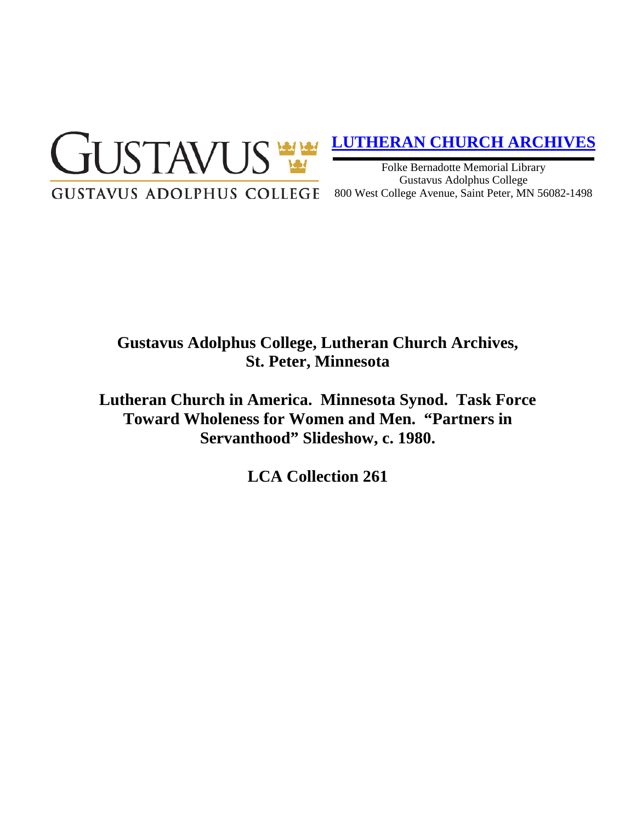

# **[LUTHERAN CHURCH ARCHIVES](http://gustavus.edu/academics/library/archives/)**

Folke Bernadotte Memorial Library Gustavus Adolphus College 800 West College Avenue, Saint Peter, MN 56082-1498

# **Gustavus Adolphus College, Lutheran Church Archives, St. Peter, Minnesota**

**Lutheran Church in America. Minnesota Synod. Task Force Toward Wholeness for Women and Men. "Partners in Servanthood" Slideshow, c. 1980.**

**LCA Collection 261**